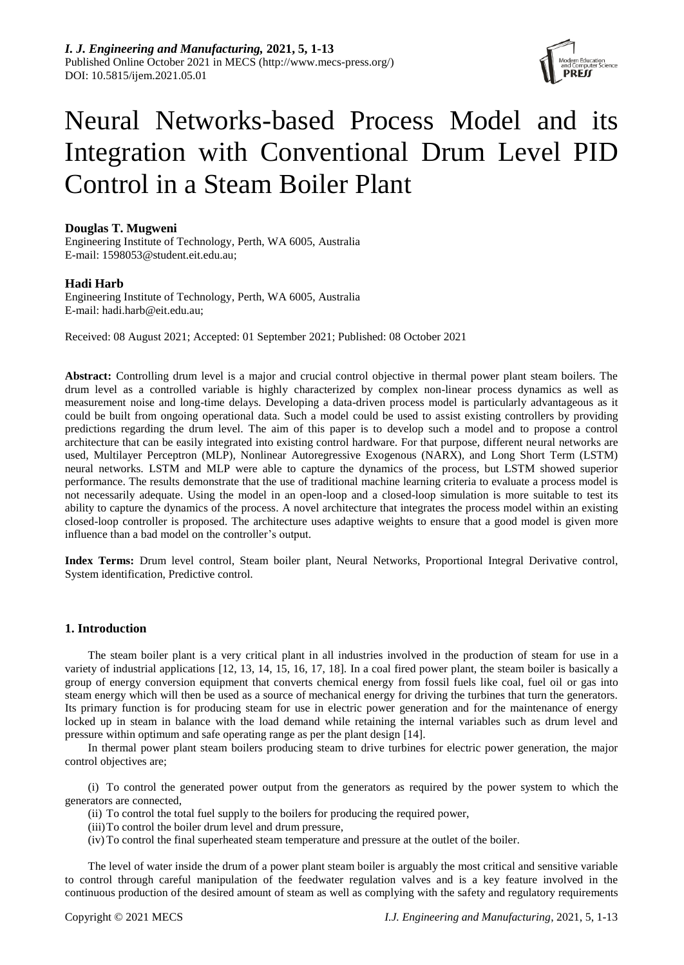

# Neural Networks-based Process Model and its Integration with Conventional Drum Level PID Control in a Steam Boiler Plant

# **Douglas T. Mugweni**

Engineering Institute of Technology, Perth, WA 6005, Australia E-mail: [1598053@student.eit.edu.au;](mailto:1598053@student.eit.edu.au)

# **Hadi Harb**

Engineering Institute of Technology, Perth, WA 6005, Australia E-mail: [hadi.harb@eit.edu.au;](mailto:hadi.harb@eit.edu.au)

Received: 08 August 2021; Accepted: 01 September 2021; Published: 08 October 2021

**Abstract:** Controlling drum level is a major and crucial control objective in thermal power plant steam boilers. The drum level as a controlled variable is highly characterized by complex non-linear process dynamics as well as measurement noise and long-time delays. Developing a data-driven process model is particularly advantageous as it could be built from ongoing operational data. Such a model could be used to assist existing controllers by providing predictions regarding the drum level. The aim of this paper is to develop such a model and to propose a control architecture that can be easily integrated into existing control hardware. For that purpose, different neural networks are used, Multilayer Perceptron (MLP), Nonlinear Autoregressive Exogenous (NARX), and Long Short Term (LSTM) neural networks. LSTM and MLP were able to capture the dynamics of the process, but LSTM showed superior performance. The results demonstrate that the use of traditional machine learning criteria to evaluate a process model is not necessarily adequate. Using the model in an open-loop and a closed-loop simulation is more suitable to test its ability to capture the dynamics of the process. A novel architecture that integrates the process model within an existing closed-loop controller is proposed. The architecture uses adaptive weights to ensure that a good model is given more influence than a bad model on the controller's output.

**Index Terms:** Drum level control, Steam boiler plant, Neural Networks, Proportional Integral Derivative control, System identification, Predictive control.

# **1. Introduction**

The steam boiler plant is a very critical plant in all industries involved in the production of steam for use in a variety of industrial applications [12, 13, 14, 15, 16, 17, 18]. In a coal fired power plant, the steam boiler is basically a group of energy conversion equipment that converts chemical energy from fossil fuels like coal, fuel oil or gas into steam energy which will then be used as a source of mechanical energy for driving the turbines that turn the generators. Its primary function is for producing steam for use in electric power generation and for the maintenance of energy locked up in steam in balance with the load demand while retaining the internal variables such as drum level and pressure within optimum and safe operating range as per the plant design [\[14\].](#page-11-0)

In thermal power plant steam boilers producing steam to drive turbines for electric power generation, the major control objectives are;

(i) To control the generated power output from the generators as required by the power system to which the generators are connected,

- (ii) To control the total fuel supply to the boilers for producing the required power,
- (iii)To control the boiler drum level and drum pressure,
- (iv) To control the final superheated steam temperature and pressure at the outlet of the boiler.

The level of water inside the drum of a power plant steam boiler is arguably the most critical and sensitive variable to control through careful manipulation of the feedwater regulation valves and is a key feature involved in the continuous production of the desired amount of steam as well as complying with the safety and regulatory requirements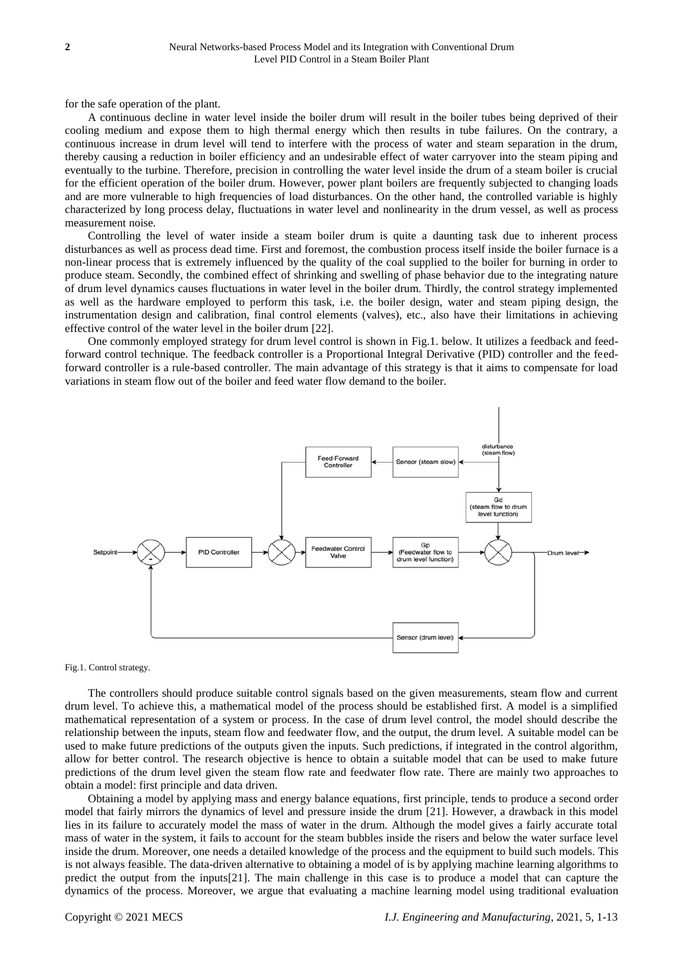for the safe operation of the plant.

A continuous decline in water level inside the boiler drum will result in the boiler tubes being deprived of their cooling medium and expose them to high thermal energy which then results in tube failures. On the contrary, a continuous increase in drum level will tend to interfere with the process of water and steam separation in the drum, thereby causing a reduction in boiler efficiency and an undesirable effect of water carryover into the steam piping and eventually to the turbine. Therefore, precision in controlling the water level inside the drum of a steam boiler is crucial for the efficient operation of the boiler drum. However, power plant boilers are frequently subjected to changing loads and are more vulnerable to high frequencies of load disturbances. On the other hand, the controlled variable is highly characterized by long process delay, fluctuations in water level and nonlinearity in the drum vessel, as well as process measurement noise.

Controlling the level of water inside a steam boiler drum is quite a daunting task due to inherent process disturbances as well as process dead time. First and foremost, the combustion process itself inside the boiler furnace is a non-linear process that is extremely influenced by the quality of the coal supplied to the boiler for burning in order to produce steam. Secondly, the combined effect of shrinking and swelling of phase behavior due to the integrating nature of drum level dynamics causes fluctuations in water level in the boiler drum. Thirdly, the control strategy implemented as well as the hardware employed to perform this task, i.e. the boiler design, water and steam piping design, the instrumentation design and calibration, final control elements (valves), etc., also have their limitations in achieving effective control of the water level in the boiler drum [\[22\].](#page-11-1) 

One commonly employed strategy for drum level control is shown in Fig.1. below. It utilizes a feedback and feedforward control technique. The feedback controller is a Proportional Integral Derivative (PID) controller and the feedforward controller is a rule-based controller. The main advantage of this strategy is that it aims to compensate for load variations in steam flow out of the boiler and feed water flow demand to the boiler.



Fig.1. Control strategy.

The controllers should produce suitable control signals based on the given measurements, steam flow and current drum level. To achieve this, a mathematical model of the process should be established first. A model is a simplified mathematical representation of a system or process. In the case of drum level control, the model should describe the relationship between the inputs, steam flow and feedwater flow, and the output, the drum level. A suitable model can be used to make future predictions of the outputs given the inputs. Such predictions, if integrated in the control algorithm, allow for better control. The research objective is hence to obtain a suitable model that can be used to make future predictions of the drum level given the steam flow rate and feedwater flow rate. There are mainly two approaches to obtain a model: first principle and data driven.

Obtaining a model by applying mass and energy balance equations, first principle, tends to produce a second order model that fairly mirrors the dynamics of level and pressure inside the drum [\[21\].](#page-11-2) However, a drawback in this model lies in its failure to accurately model the mass of water in the drum. Although the model gives a fairly accurate total mass of water in the system, it fails to account for the steam bubbles inside the risers and below the water surface level inside the drum. Moreover, one needs a detailed knowledge of the process and the equipment to build such models. This is not always feasible. The data-driven alternative to obtaining a model of is by applying machine learning algorithms to predict the output from the input[s\[21\].](#page-11-2) The main challenge in this case is to produce a model that can capture the dynamics of the process. Moreover, we argue that evaluating a machine learning model using traditional evaluation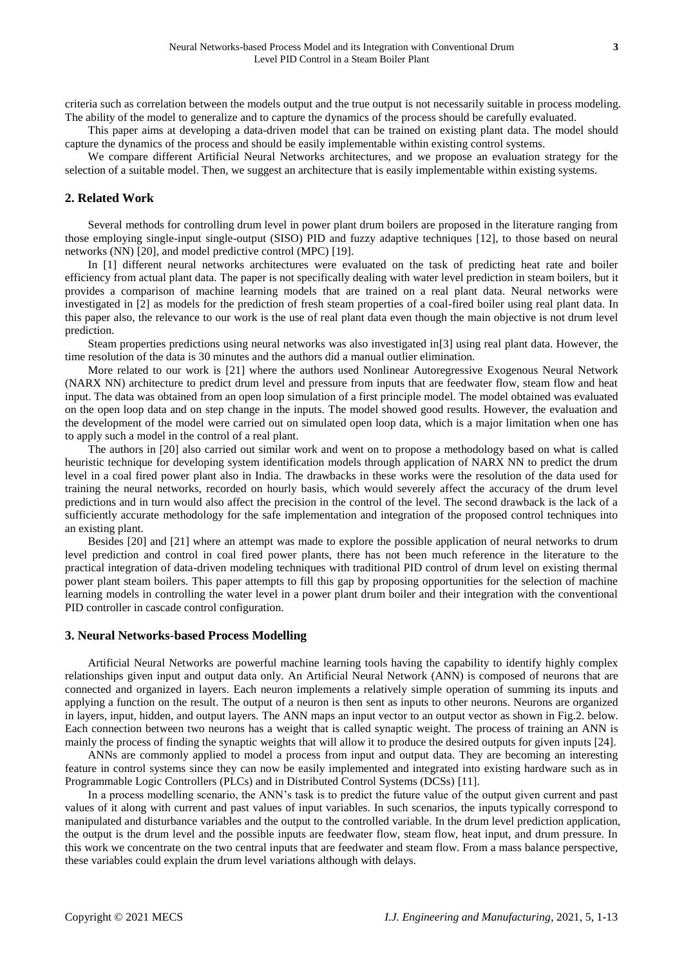criteria such as correlation between the models output and the true output is not necessarily suitable in process modeling. The ability of the model to generalize and to capture the dynamics of the process should be carefully evaluated.

This paper aims at developing a data-driven model that can be trained on existing plant data. The model should capture the dynamics of the process and should be easily implementable within existing control systems.

We compare different Artificial Neural Networks architectures, and we propose an evaluation strategy for the selection of a suitable model. Then, we suggest an architecture that is easily implementable within existing systems.

# **2. Related Work**

Several methods for controlling drum level in power plant drum boilers are proposed in the literature ranging from those employing single-input single-output (SISO) PID and fuzzy adaptive techniques [\[12\],](#page-11-3) to those based on neural networks (NN) [\[20\],](#page-11-4) and model predictive control (MPC) [\[19\].](#page-11-5)

In [\[1\]](#page-11-6) different neural networks architectures were evaluated on the task of predicting heat rate and boiler efficiency from actual plant data. The paper is not specifically dealing with water level prediction in steam boilers, but it provides a comparison of machine learning models that are trained on a real plant data. Neural networks were investigated in [\[2\]](#page-11-7) as models for the prediction of fresh steam properties of a coal-fired boiler using real plant data. In this paper also, the relevance to our work is the use of real plant data even though the main objective is not drum level prediction.

Steam properties predictions using neural networks was also investigated i[n\[3\]](#page-11-8) using real plant data. However, the time resolution of the data is 30 minutes and the authors did a manual outlier elimination.

More related to our work is [\[21\]](#page-11-2) where the authors used Nonlinear Autoregressive Exogenous Neural Network (NARX NN) architecture to predict drum level and pressure from inputs that are feedwater flow, steam flow and heat input. The data was obtained from an open loop simulation of a first principle model. The model obtained was evaluated on the open loop data and on step change in the inputs. The model showed good results. However, the evaluation and the development of the model were carried out on simulated open loop data, which is a major limitation when one has to apply such a model in the control of a real plant.

The authors in [\[20\]](#page-11-4) also carried out similar work and went on to propose a methodology based on what is called heuristic technique for developing system identification models through application of NARX NN to predict the drum level in a coal fired power plant also in India. The drawbacks in these works were the resolution of the data used for training the neural networks, recorded on hourly basis, which would severely affect the accuracy of the drum level predictions and in turn would also affect the precision in the control of the level. The second drawback is the lack of a sufficiently accurate methodology for the safe implementation and integration of the proposed control techniques into an existing plant.

Besides [\[20\]](#page-11-4) and [\[21\]](#page-11-2) where an attempt was made to explore the possible application of neural networks to drum level prediction and control in coal fired power plants, there has not been much reference in the literature to the practical integration of data-driven modeling techniques with traditional PID control of drum level on existing thermal power plant steam boilers. This paper attempts to fill this gap by proposing opportunities for the selection of machine learning models in controlling the water level in a power plant drum boiler and their integration with the conventional PID controller in cascade control configuration.

# **3. Neural Networks-based Process Modelling**

Artificial Neural Networks are powerful machine learning tools having the capability to identify highly complex relationships given input and output data only. An Artificial Neural Network (ANN) is composed of neurons that are connected and organized in layers. Each neuron implements a relatively simple operation of summing its inputs and applying a function on the result. The output of a neuron is then sent as inputs to other neurons. Neurons are organized in layers, input, hidden, and output layers. The ANN maps an input vector to an output vector as shown in Fig.2. below. Each connection between two neurons has a weight that is called synaptic weight. The process of training an ANN is mainly the process of finding the synaptic weights that will allow it to produce the desired outputs for given inputs [24].

ANNs are commonly applied to model a process from input and output data. They are becoming an interesting feature in control systems since they can now be easily implemented and integrated into existing hardware such as in Programmable Logic Controllers (PLCs) and in Distributed Control Systems (DCSs) [\[11\].](#page-11-9)

In a process modelling scenario, the ANN's task is to predict the future value of the output given current and past values of it along with current and past values of input variables. In such scenarios, the inputs typically correspond to manipulated and disturbance variables and the output to the controlled variable. In the drum level prediction application, the output is the drum level and the possible inputs are feedwater flow, steam flow, heat input, and drum pressure. In this work we concentrate on the two central inputs that are feedwater and steam flow. From a mass balance perspective, these variables could explain the drum level variations although with delays.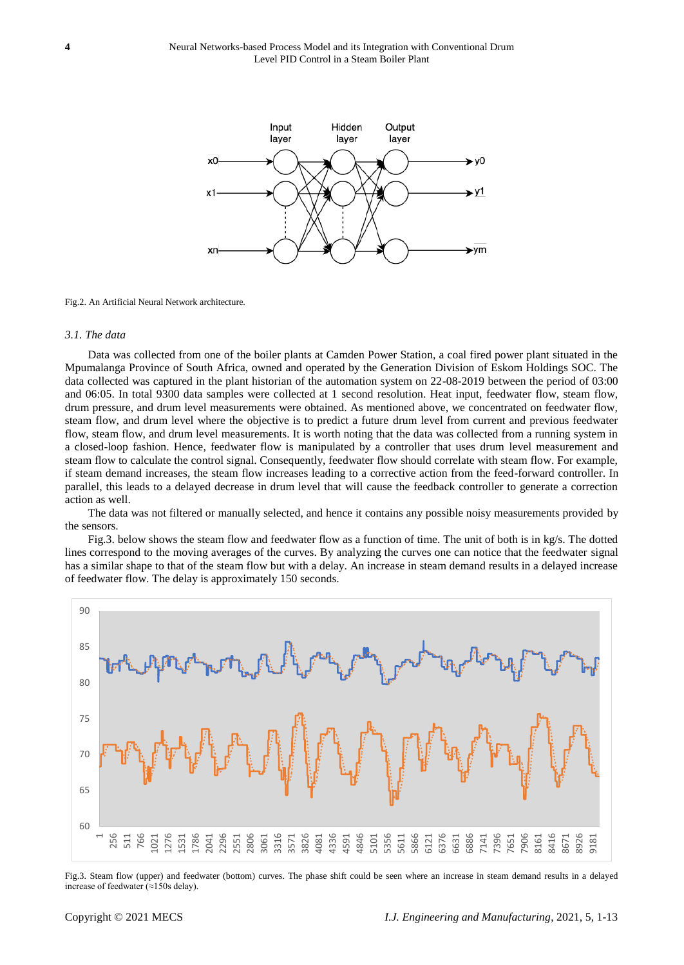

#### Fig.2. An Artificial Neural Network architecture.

#### *3.1. The data*

Data was collected from one of the boiler plants at Camden Power Station, a coal fired power plant situated in the Mpumalanga Province of South Africa, owned and operated by the Generation Division of Eskom Holdings SOC. The data collected was captured in the plant historian of the automation system on 22-08-2019 between the period of 03:00 and 06:05. In total 9300 data samples were collected at 1 second resolution. Heat input, feedwater flow, steam flow, drum pressure, and drum level measurements were obtained. As mentioned above, we concentrated on feedwater flow, steam flow, and drum level where the objective is to predict a future drum level from current and previous feedwater flow, steam flow, and drum level measurements. It is worth noting that the data was collected from a running system in a closed-loop fashion. Hence, feedwater flow is manipulated by a controller that uses drum level measurement and steam flow to calculate the control signal. Consequently, feedwater flow should correlate with steam flow. For example, if steam demand increases, the steam flow increases leading to a corrective action from the feed-forward controller. In parallel, this leads to a delayed decrease in drum level that will cause the feedback controller to generate a correction action as well.

The data was not filtered or manually selected, and hence it contains any possible noisy measurements provided by the sensors.

Fig.3. below shows the steam flow and feedwater flow as a function of time. The unit of both is in kg/s. The dotted lines correspond to the moving averages of the curves. By analyzing the curves one can notice that the feedwater signal has a similar shape to that of the steam flow but with a delay. An increase in steam demand results in a delayed increase of feedwater flow. The delay is approximately 150 seconds.



Fig.3. Steam flow (upper) and feedwater (bottom) curves. The phase shift could be seen where an increase in steam demand results in a delayed increase of feedwater (≈150s delay).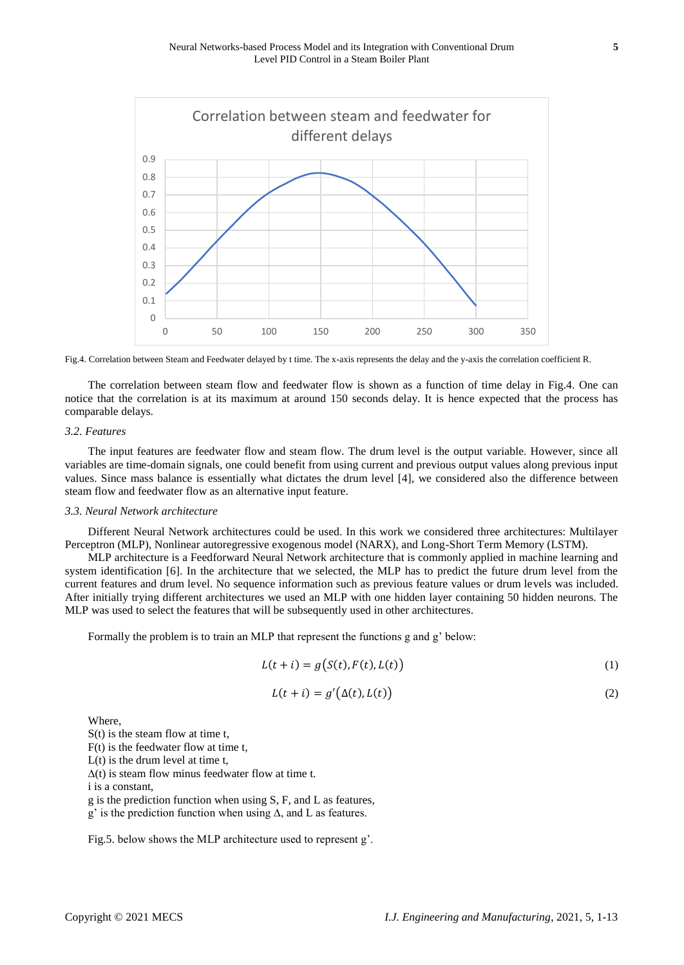

Fig.4. Correlation between Steam and Feedwater delayed by t time. The x-axis represents the delay and the y-axis the correlation coefficient R.

The correlation between steam flow and feedwater flow is shown as a function of time delay in Fig.4. One can notice that the correlation is at its maximum at around 150 seconds delay. It is hence expected that the process has comparable delays.

# *3.2. Features*

The input features are feedwater flow and steam flow. The drum level is the output variable. However, since all variables are time-domain signals, one could benefit from using current and previous output values along previous input values. Since mass balance is essentially what dictates the drum level [\[4\],](#page-11-10) we considered also the difference between steam flow and feedwater flow as an alternative input feature.

## *3.3. Neural Network architecture*

Different Neural Network architectures could be used. In this work we considered three architectures: Multilayer Perceptron (MLP), Nonlinear autoregressive exogenous model (NARX), and Long-Short Term Memory (LSTM).

MLP architecture is a Feedforward Neural Network architecture that is commonly applied in machine learning and system identification [\[6\].](#page-11-11) In the architecture that we selected, the MLP has to predict the future drum level from the current features and drum level. No sequence information such as previous feature values or drum levels was included. After initially trying different architectures we used an MLP with one hidden layer containing 50 hidden neurons. The MLP was used to select the features that will be subsequently used in other architectures.

Formally the problem is to train an MLP that represent the functions g and g' below:

$$
L(t + i) = g(S(t), F(t), L(t))
$$
\n<sup>(1)</sup>

$$
L(t + i) = g'(\Delta(t), L(t))
$$
\n(2)

Where,

S(t) is the steam flow at time t,

F(t) is the feedwater flow at time t,

 $L(t)$  is the drum level at time t,

 $\Delta(t)$  is steam flow minus feedwater flow at time t.

i is a constant,

g is the prediction function when using S, F, and L as features,

g' is the prediction function when using ∆, and L as features.

Fig.5. below shows the MLP architecture used to represent g'.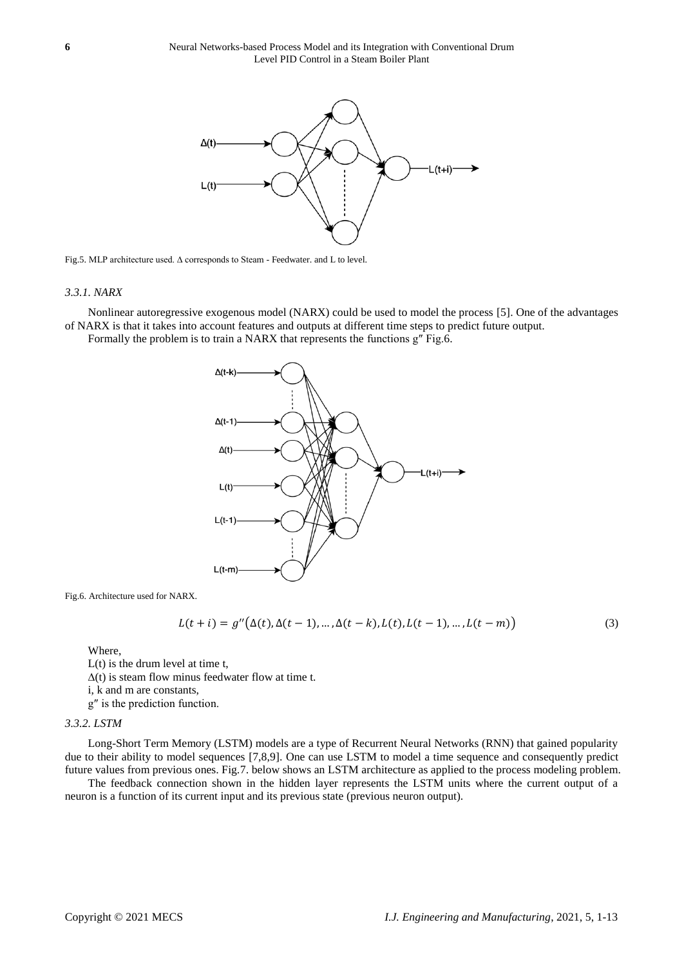

Fig.5. MLP architecture used. ∆ corresponds to Steam - Feedwater. and L to level.

#### *3.3.1. NARX*

Nonlinear autoregressive exogenous model (NARX) could be used to model the process [\[5\].](#page-11-12) One of the advantages of NARX is that it takes into account features and outputs at different time steps to predict future output.

Formally the problem is to train a NARX that represents the functions g″ Fig.6.



Fig.6. Architecture used for NARX.

$$
L(t + i) = g''(\Delta(t), \Delta(t - 1), ..., \Delta(t - k), L(t), L(t - 1), ..., L(t - m))
$$
\n(3)

Where,

L(t) is the drum level at time t,  $\Delta(t)$  is steam flow minus feedwater flow at time t. i, k and m are constants, g″ is the prediction function.

## *3.3.2. LSTM*

Long-Short Term Memory (LSTM) models are a type of Recurrent Neural Networks (RNN) that gained popularity due to their ability to model sequences [7,8,9]. One can use LSTM to model a time sequence and consequently predict future values from previous ones. Fig.7. below shows an LSTM architecture as applied to the process modeling problem.

The feedback connection shown in the hidden layer represents the LSTM units where the current output of a neuron is a function of its current input and its previous state (previous neuron output).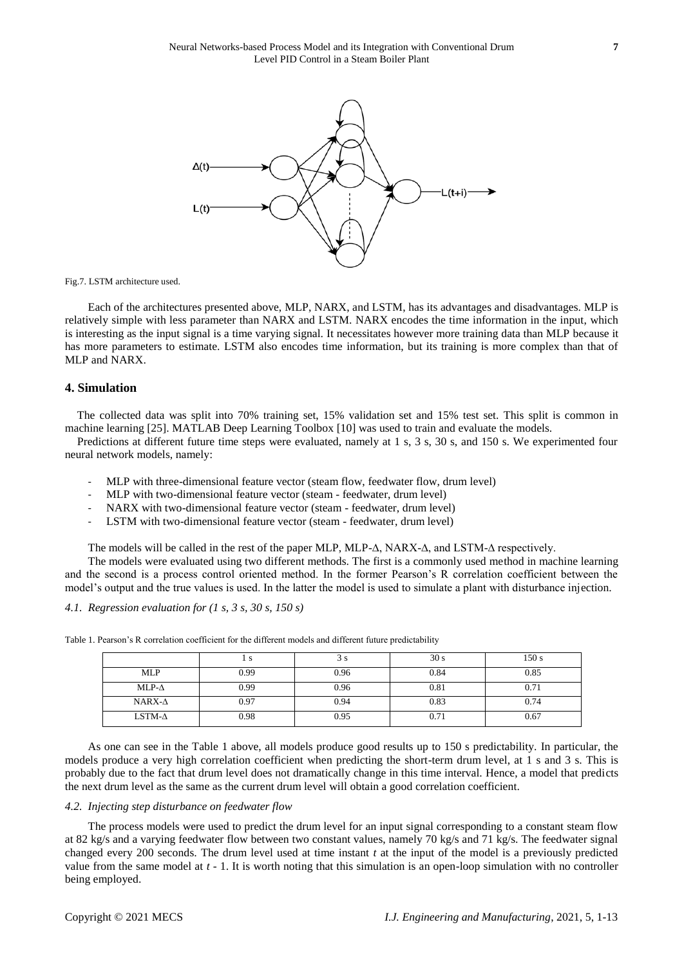

Fig.7. LSTM architecture used.

Each of the architectures presented above, MLP, NARX, and LSTM, has its advantages and disadvantages. MLP is relatively simple with less parameter than NARX and LSTM. NARX encodes the time information in the input, which is interesting as the input signal is a time varying signal. It necessitates however more training data than MLP because it has more parameters to estimate. LSTM also encodes time information, but its training is more complex than that of MLP and NARX.

## **4. Simulation**

The collected data was split into 70% training set, 15% validation set and 15% test set. This split is common in machine learning [25]. MATLAB Deep Learning Toolbox [\[10\]](#page-11-13) was used to train and evaluate the models.

Predictions at different future time steps were evaluated, namely at 1 s, 3 s, 30 s, and 150 s. We experimented four neural network models, namely:

- MLP with three-dimensional feature vector (steam flow, feedwater flow, drum level)
- MLP with two-dimensional feature vector (steam feedwater, drum level)
- NARX with two-dimensional feature vector (steam feedwater, drum level)
- LSTM with two-dimensional feature vector (steam feedwater, drum level)

The models will be called in the rest of the paper MLP, MLP-∆, NARX-∆, and LSTM-∆ respectively.

The models were evaluated using two different methods. The first is a commonly used method in machine learning and the second is a process control oriented method. In the former Pearson's R correlation coefficient between the model's output and the true values is used. In the latter the model is used to simulate a plant with disturbance injection.

*4.1. Regression evaluation for (1 s, 3 s, 30 s, 150 s)*

|                |      | эs   | 30 <sub>s</sub> | 150 s |
|----------------|------|------|-----------------|-------|
| <b>MLP</b>     | 0.99 | 0.96 | 0.84            | 0.85  |
| $MLP-\Delta$   | 0.99 | 0.96 | 0.81            | 0.71  |
| $NARX-A$       | 0.97 | 0.94 | 0.83            | 0.74  |
| LSTM- $\Delta$ | 0.98 | 0.95 | 0.71            | 0.67  |

Table 1. Pearson's R correlation coefficient for the different models and different future predictability

As one can see in the Table 1 above, all models produce good results up to 150 s predictability. In particular, the models produce a very high correlation coefficient when predicting the short-term drum level, at 1 s and 3 s. This is probably due to the fact that drum level does not dramatically change in this time interval. Hence, a model that predicts the next drum level as the same as the current drum level will obtain a good correlation coefficient.

# *4.2. Injecting step disturbance on feedwater flow*

The process models were used to predict the drum level for an input signal corresponding to a constant steam flow at 82 kg/s and a varying feedwater flow between two constant values, namely 70 kg/s and 71 kg/s. The feedwater signal changed every 200 seconds. The drum level used at time instant *t* at the input of the model is a previously predicted value from the same model at *t* - 1. It is worth noting that this simulation is an open-loop simulation with no controller being employed.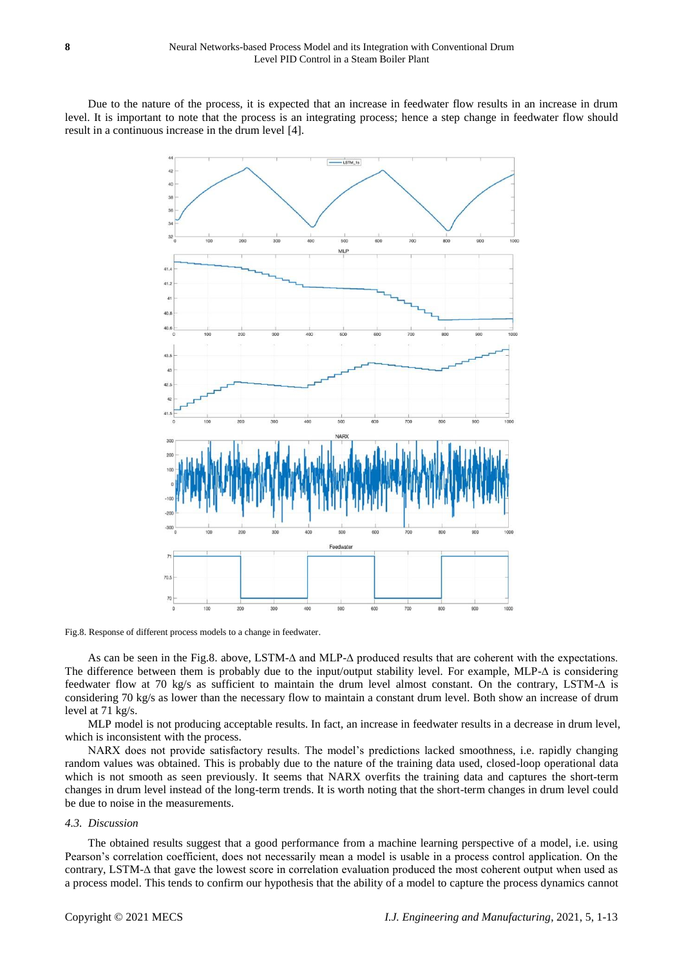Due to the nature of the process, it is expected that an increase in feedwater flow results in an increase in drum level. It is important to note that the process is an integrating process; hence a step change in feedwater flow should result in a continuous increase in the drum level [\[4\].](#page-11-10)



Fig.8. Response of different process models to a change in feedwater.

As can be seen in the Fig.8. above, LSTM-∆ and MLP-∆ produced results that are coherent with the expectations. The difference between them is probably due to the input/output stability level. For example, MLP-∆ is considering feedwater flow at 70 kg/s as sufficient to maintain the drum level almost constant. On the contrary, LSTM-∆ is considering 70 kg/s as lower than the necessary flow to maintain a constant drum level. Both show an increase of drum level at 71 kg/s.

MLP model is not producing acceptable results. In fact, an increase in feedwater results in a decrease in drum level, which is inconsistent with the process.

NARX does not provide satisfactory results. The model's predictions lacked smoothness, i.e. rapidly changing random values was obtained. This is probably due to the nature of the training data used, closed-loop operational data which is not smooth as seen previously. It seems that NARX overfits the training data and captures the short-term changes in drum level instead of the long-term trends. It is worth noting that the short-term changes in drum level could be due to noise in the measurements.

#### *4.3. Discussion*

The obtained results suggest that a good performance from a machine learning perspective of a model, i.e. using Pearson's correlation coefficient, does not necessarily mean a model is usable in a process control application. On the contrary, LSTM-∆ that gave the lowest score in correlation evaluation produced the most coherent output when used as a process model. This tends to confirm our hypothesis that the ability of a model to capture the process dynamics cannot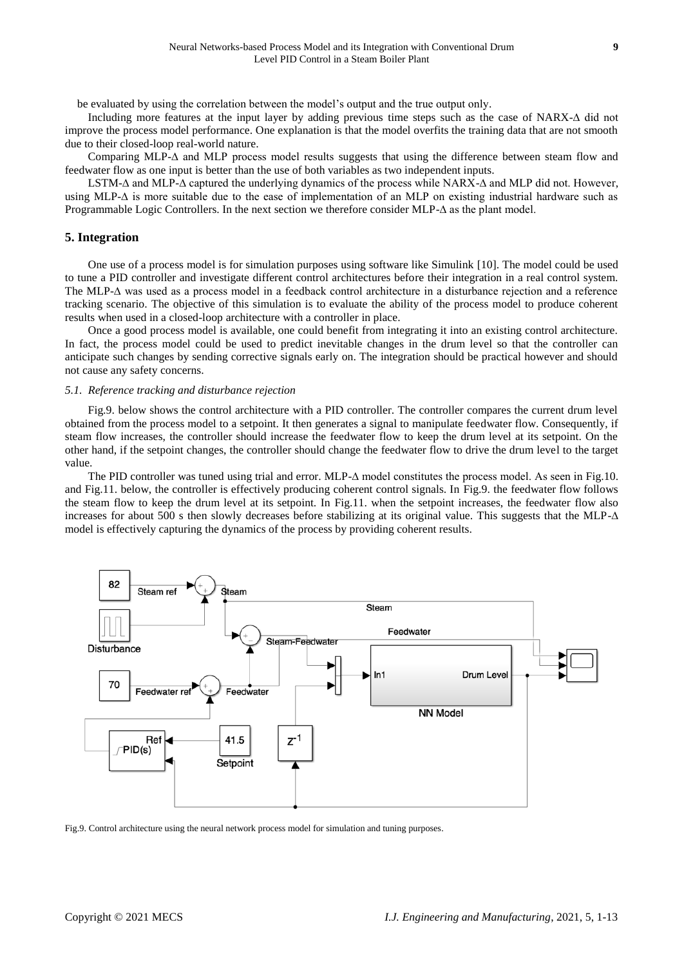be evaluated by using the correlation between the model's output and the true output only.

Including more features at the input layer by adding previous time steps such as the case of NARX-∆ did not improve the process model performance. One explanation is that the model overfits the training data that are not smooth due to their closed-loop real-world nature.

Comparing MLP-∆ and MLP process model results suggests that using the difference between steam flow and feedwater flow as one input is better than the use of both variables as two independent inputs.

LSTM-∆ and MLP-∆ captured the underlying dynamics of the process while NARX-∆ and MLP did not. However, using MLP-∆ is more suitable due to the ease of implementation of an MLP on existing industrial hardware such as Programmable Logic Controllers. In the next section we therefore consider MLP-∆ as the plant model.

#### **5. Integration**

One use of a process model is for simulation purposes using software like Simulink [\[10\].](#page-11-13) The model could be used to tune a PID controller and investigate different control architectures before their integration in a real control system. The MLP-∆ was used as a process model in a feedback control architecture in a disturbance rejection and a reference tracking scenario. The objective of this simulation is to evaluate the ability of the process model to produce coherent results when used in a closed-loop architecture with a controller in place.

Once a good process model is available, one could benefit from integrating it into an existing control architecture. In fact, the process model could be used to predict inevitable changes in the drum level so that the controller can anticipate such changes by sending corrective signals early on. The integration should be practical however and should not cause any safety concerns.

#### *5.1. Reference tracking and disturbance rejection*

Fig.9. below shows the control architecture with a PID controller. The controller compares the current drum level obtained from the process model to a setpoint. It then generates a signal to manipulate feedwater flow. Consequently, if steam flow increases, the controller should increase the feedwater flow to keep the drum level at its setpoint. On the other hand, if the setpoint changes, the controller should change the feedwater flow to drive the drum level to the target value.

The PID controller was tuned using trial and error. MLP-∆ model constitutes the process model. As seen in Fig.10. and Fig.11. below, the controller is effectively producing coherent control signals. In Fig.9. the feedwater flow follows the steam flow to keep the drum level at its setpoint. In Fig.11. when the setpoint increases, the feedwater flow also increases for about 500 s then slowly decreases before stabilizing at its original value. This suggests that the MLP-∆ model is effectively capturing the dynamics of the process by providing coherent results.



Fig.9. Control architecture using the neural network process model for simulation and tuning purposes.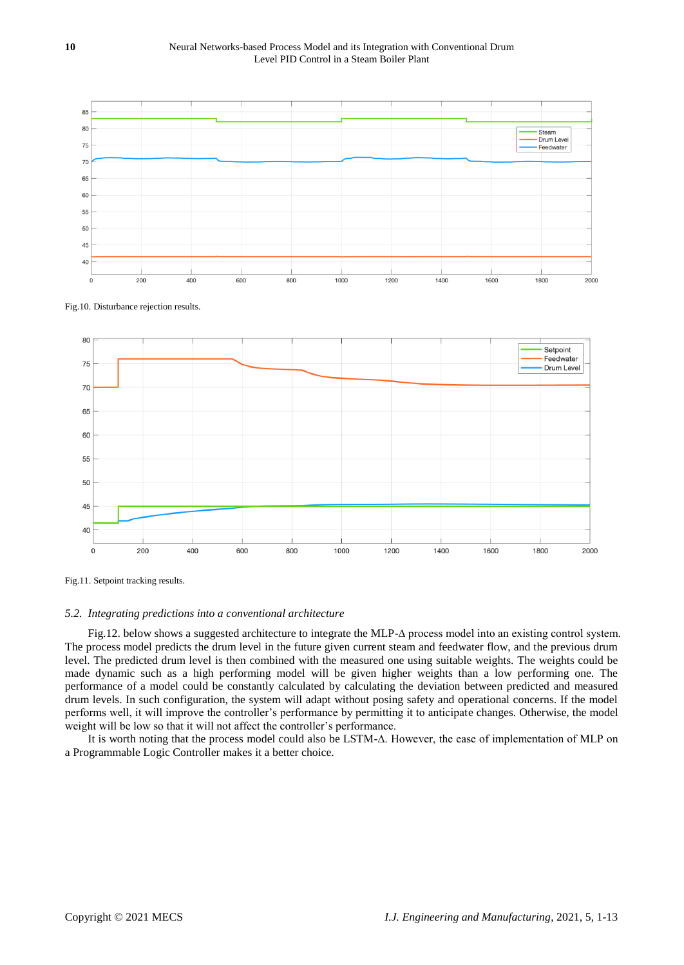

Fig.10. Disturbance rejection results.



Fig.11. Setpoint tracking results.

#### *5.2. Integrating predictions into a conventional architecture*

Fig.12. below shows a suggested architecture to integrate the MLP-∆ process model into an existing control system. The process model predicts the drum level in the future given current steam and feedwater flow, and the previous drum level. The predicted drum level is then combined with the measured one using suitable weights. The weights could be made dynamic such as a high performing model will be given higher weights than a low performing one. The performance of a model could be constantly calculated by calculating the deviation between predicted and measured drum levels. In such configuration, the system will adapt without posing safety and operational concerns. If the model performs well, it will improve the controller's performance by permitting it to anticipate changes. Otherwise, the model weight will be low so that it will not affect the controller's performance.

It is worth noting that the process model could also be LSTM-∆. However, the ease of implementation of MLP on a Programmable Logic Controller makes it a better choice.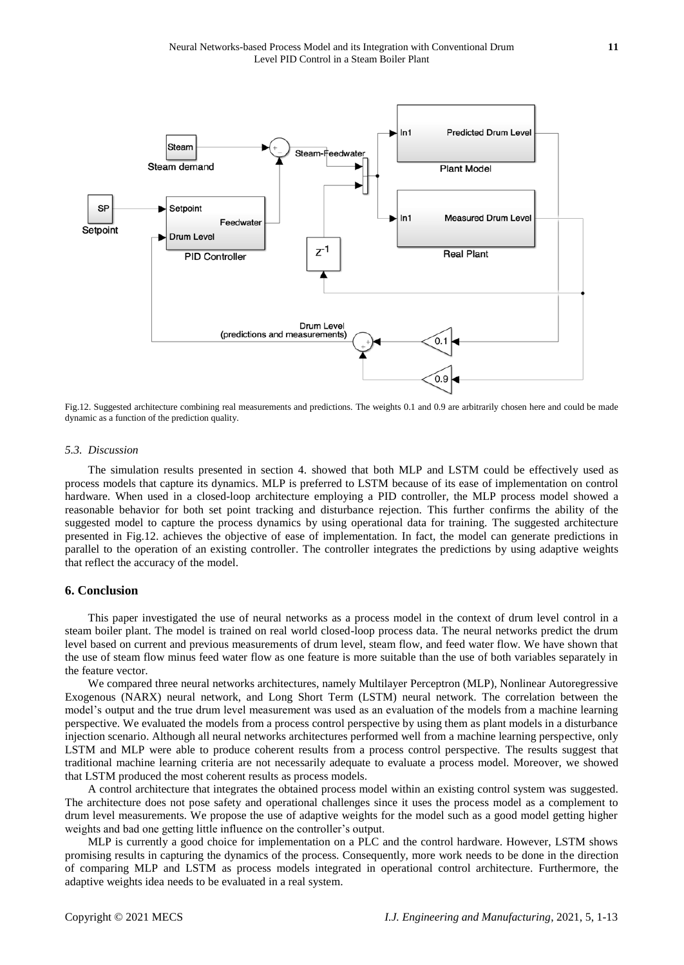

Fig.12. Suggested architecture combining real measurements and predictions. The weights 0.1 and 0.9 are arbitrarily chosen here and could be made dynamic as a function of the prediction quality.

#### *5.3. Discussion*

The simulation results presented in section 4. showed that both MLP and LSTM could be effectively used as process models that capture its dynamics. MLP is preferred to LSTM because of its ease of implementation on control hardware. When used in a closed-loop architecture employing a PID controller, the MLP process model showed a reasonable behavior for both set point tracking and disturbance rejection. This further confirms the ability of the suggested model to capture the process dynamics by using operational data for training. The suggested architecture presented in Fig.12. achieves the objective of ease of implementation. In fact, the model can generate predictions in parallel to the operation of an existing controller. The controller integrates the predictions by using adaptive weights that reflect the accuracy of the model.

## **6. Conclusion**

This paper investigated the use of neural networks as a process model in the context of drum level control in a steam boiler plant. The model is trained on real world closed-loop process data. The neural networks predict the drum level based on current and previous measurements of drum level, steam flow, and feed water flow. We have shown that the use of steam flow minus feed water flow as one feature is more suitable than the use of both variables separately in the feature vector.

We compared three neural networks architectures, namely Multilayer Perceptron (MLP), Nonlinear Autoregressive Exogenous (NARX) neural network, and Long Short Term (LSTM) neural network. The correlation between the model's output and the true drum level measurement was used as an evaluation of the models from a machine learning perspective. We evaluated the models from a process control perspective by using them as plant models in a disturbance injection scenario. Although all neural networks architectures performed well from a machine learning perspective, only LSTM and MLP were able to produce coherent results from a process control perspective. The results suggest that traditional machine learning criteria are not necessarily adequate to evaluate a process model. Moreover, we showed that LSTM produced the most coherent results as process models.

A control architecture that integrates the obtained process model within an existing control system was suggested. The architecture does not pose safety and operational challenges since it uses the process model as a complement to drum level measurements. We propose the use of adaptive weights for the model such as a good model getting higher weights and bad one getting little influence on the controller's output.

MLP is currently a good choice for implementation on a PLC and the control hardware. However, LSTM shows promising results in capturing the dynamics of the process. Consequently, more work needs to be done in the direction of comparing MLP and LSTM as process models integrated in operational control architecture. Furthermore, the adaptive weights idea needs to be evaluated in a real system.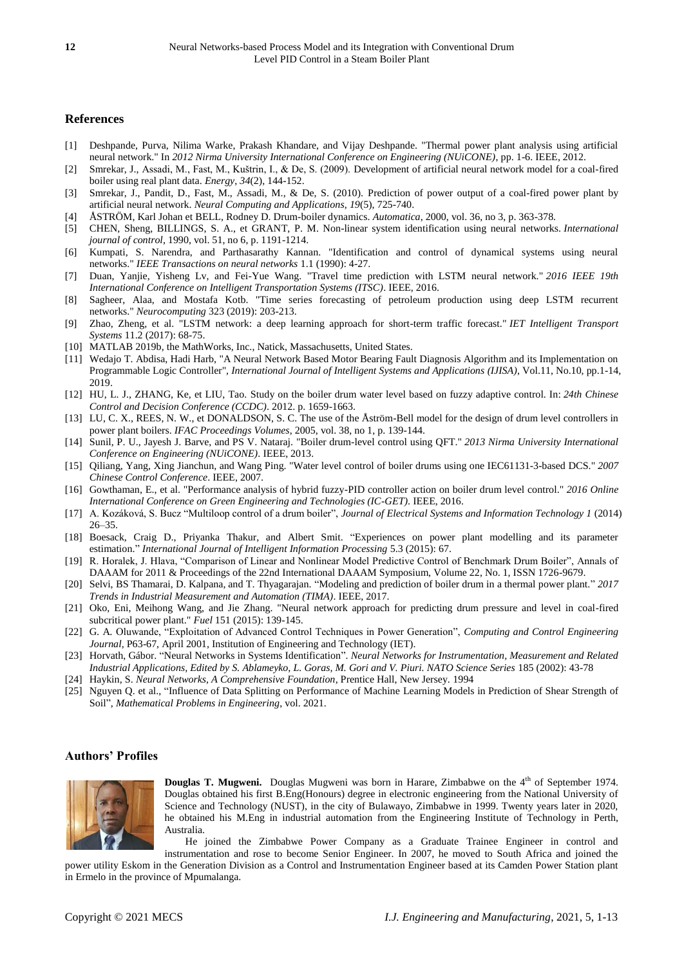## **References**

- <span id="page-11-6"></span>[1] Deshpande, Purva, Nilima Warke, Prakash Khandare, and Vijay Deshpande. "Thermal power plant analysis using artificial neural network." In *2012 Nirma University International Conference on Engineering (NUiCONE)*, pp. 1-6. IEEE, 2012.
- <span id="page-11-7"></span>[2] Smrekar, J., Assadi, M., Fast, M., Kuštrin, I., & De, S. (2009). Development of artificial neural network model for a coal-fired boiler using real plant data. *Energy*, *34*(2), 144-152.
- <span id="page-11-8"></span>[3] Smrekar, J., Pandit, D., Fast, M., Assadi, M., & De, S. (2010). Prediction of power output of a coal-fired power plant by artificial neural network. *Neural Computing and Applications*, *19*(5), 725-740.
- <span id="page-11-10"></span>[4] ÅSTRÖM, Karl Johan et BELL, Rodney D. Drum-boiler dynamics. *Automatica*, 2000, vol. 36, no 3, p. 363-378.
- <span id="page-11-12"></span>[5] CHEN, Sheng, BILLINGS, S. A., et GRANT, P. M. Non-linear system identification using neural networks. *International journal of control*, 1990, vol. 51, no 6, p. 1191-1214.
- <span id="page-11-11"></span>[6] Kumpati, S. Narendra, and Parthasarathy Kannan. "Identification and control of dynamical systems using neural networks." *IEEE Transactions on neural networks* 1.1 (1990): 4-27.
- [7] Duan, Yanjie, Yisheng Lv, and Fei-Yue Wang. "Travel time prediction with LSTM neural network." *2016 IEEE 19th International Conference on Intelligent Transportation Systems (ITSC)*. IEEE, 2016.
- [8] Sagheer, Alaa, and Mostafa Kotb. "Time series forecasting of petroleum production using deep LSTM recurrent networks." *Neurocomputing* 323 (2019): 203-213.
- [9] Zhao, Zheng, et al. "LSTM network: a deep learning approach for short-term traffic forecast." *IET Intelligent Transport Systems* 11.2 (2017): 68-75.
- <span id="page-11-13"></span>[10] MATLAB 2019b, the MathWorks, Inc., Natick, Massachusetts, United States.
- <span id="page-11-9"></span>[11] Wedajo T. Abdisa, Hadi Harb, "A Neural Network Based Motor Bearing Fault Diagnosis Algorithm and its Implementation on Programmable Logic Controller", *International Journal of Intelligent Systems and Applications (IJISA)*, Vol.11, No.10, pp.1-14, 2019.
- <span id="page-11-3"></span>[12] HU, L. J., ZHANG, Ke, et LIU, Tao. Study on the boiler drum water level based on fuzzy adaptive control. In: *24th Chinese Control and Decision Conference (CCDC)*. 2012. p. 1659-1663.
- [13] LU, C. X., REES, N. W., et DONALDSON, S. C. The use of the Åström-Bell model for the design of drum level controllers in power plant boilers. *IFAC Proceedings Volumes*, 2005, vol. 38, no 1, p. 139-144.
- <span id="page-11-0"></span>[14] Sunil, P. U., Jayesh J. Barve, and PS V. Nataraj. "Boiler drum-level control using QFT." *2013 Nirma University International Conference on Engineering (NUiCONE)*. IEEE, 2013.
- [15] Qiliang, Yang, Xing Jianchun, and Wang Ping. "Water level control of boiler drums using one IEC61131-3-based DCS." *2007 Chinese Control Conference*. IEEE, 2007.
- [16] Gowthaman, E., et al. "Performance analysis of hybrid fuzzy-PID controller action on boiler drum level control." *2016 Online International Conference on Green Engineering and Technologies (IC-GET)*. IEEE, 2016.
- [17] A. Kozáková, S. Bucz "Multiloop control of a drum boiler", *Journal of Electrical Systems and Information Technology 1* (2014) 26–35.
- [18] Boesack, Craig D., Priyanka Thakur, and Albert Smit. "Experiences on power plant modelling and its parameter estimation." *International Journal of Intelligent Information Processing* 5.3 (2015): 67.
- <span id="page-11-5"></span>[19] R. Horalek, J. Hlava, "Comparison of Linear and Nonlinear Model Predictive Control of Benchmark Drum Boiler", Annals of DAAAM for 2011 & Proceedings of the 22nd International DAAAM Symposium, Volume 22, No. 1, ISSN 1726-9679.
- <span id="page-11-4"></span>[20] Selvi, BS Thamarai, D. Kalpana, and T. Thyagarajan. "Modeling and prediction of boiler drum in a thermal power plant." *2017 Trends in Industrial Measurement and Automation (TIMA)*. IEEE, 2017.
- <span id="page-11-2"></span>[21] Oko, Eni, Meihong Wang, and Jie Zhang. "Neural network approach for predicting drum pressure and level in coal-fired subcritical power plant." *Fuel* 151 (2015): 139-145.
- <span id="page-11-1"></span>[22] G. A*.* Oluwande, "Exploitation of Advanced Control Techniques in Power Generation", *Computing and Control Engineering Journal*, P63-67, April 2001, Institution of Engineering and Technology (IET).
- [23] Horvath, Gábor. "Neural Networks in Systems Identification". *Neural Networks for Instrumentation, Measurement and Related Industrial Applications, Edited by S. Ablameyko, L. Goras, M. Gori and V. Piuri. NATO Science Series* 185 (2002): 43-78
- [24] Haykin, S. *Neural Networks, A Comprehensive Foundation*, Prentice Hall, New Jersey. 1994
- [25] Nguyen Q. et al., "Influence of Data Splitting on Performance of Machine Learning Models in Prediction of Shear Strength of Soil", *Mathematical Problems in Engineering*, vol. 2021.

## **Authors' Profiles**



**Douglas T. Mugweni.** Douglas Mugweni was born in Harare, Zimbabwe on the 4<sup>th</sup> of September 1974. Douglas obtained his first B.Eng(Honours) degree in electronic engineering from the National University of Science and Technology (NUST), in the city of Bulawayo, Zimbabwe in 1999. Twenty years later in 2020, he obtained his M.Eng in industrial automation from the Engineering Institute of Technology in Perth, Australia.

He joined the Zimbabwe Power Company as a Graduate Trainee Engineer in control and instrumentation and rose to become Senior Engineer. In 2007, he moved to South Africa and joined the

power utility Eskom in the Generation Division as a Control and Instrumentation Engineer based at its Camden Power Station plant in Ermelo in the province of Mpumalanga.